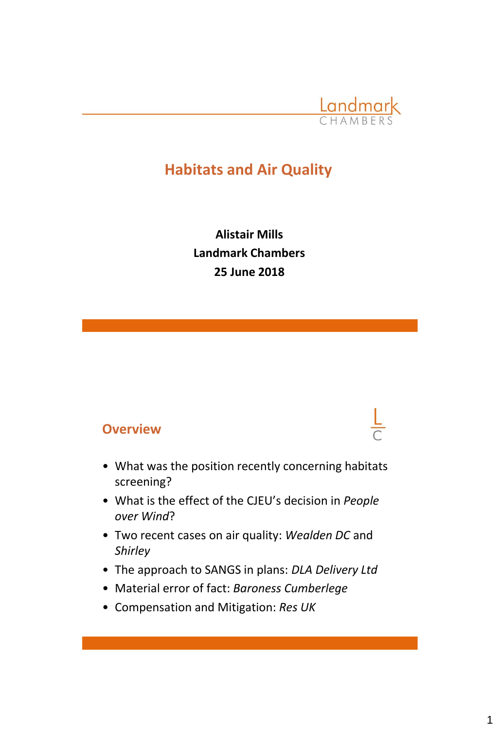

# **Habitats and Air Quality**

**Alistair Mills Landmark Chambers 25 June 2018**

#### **Overview**

- What was the position recently concerning habitats screening?
- What is the effect of the CJEU's decision in *People over Wind*?
- Two recent cases on air quality: *Wealden DC* and *Shirley*
- The approach to SANGS in plans: *DLA Delivery Ltd*
- Material error of fact: *Baroness Cumberlege*
- Compensation and Mitigation: *Res UK*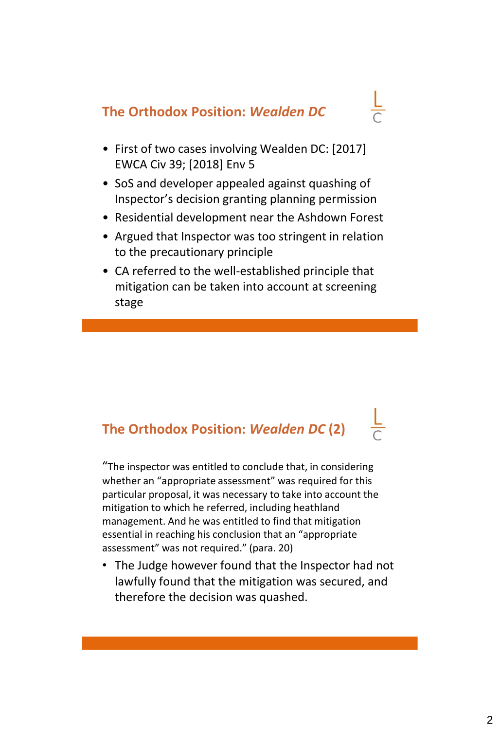# **The Orthodox Position:** *Wealden DC*

- 
- First of two cases involving Wealden DC: [2017] EWCA Civ 39; [2018] Env 5
- SoS and developer appealed against quashing of Inspector's decision granting planning permission
- Residential development near the Ashdown Forest
- Argued that Inspector was too stringent in relation to the precautionary principle
- CA referred to the well-established principle that mitigation can be taken into account at screening stage

# **The Orthodox Position:** *Wealden DC* **(2)**

"The inspector was entitled to conclude that, in considering whether an "appropriate assessment" was required for this particular proposal, it was necessary to take into account the mitigation to which he referred, including heathland management. And he was entitled to find that mitigation essential in reaching his conclusion that an "appropriate assessment" was not required." (para. 20)

• The Judge however found that the Inspector had not lawfully found that the mitigation was secured, and therefore the decision was quashed.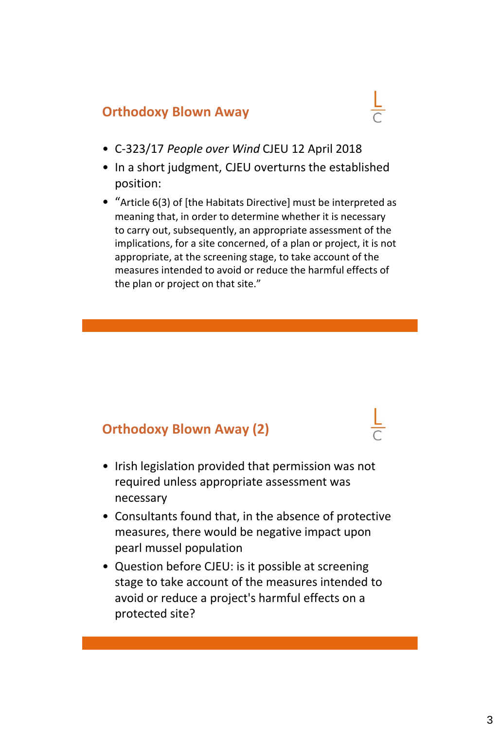### **Orthodoxy Blown Away**

- C-323/17 *People over Wind* CJEU 12 April 2018
- In a short judgment, CJEU overturns the established position:
- "Article 6(3) of [the Habitats Directive] must be interpreted as meaning that, in order to determine whether it is necessary to carry out, subsequently, an appropriate assessment of the implications, for a site concerned, of a plan or project, it is not appropriate, at the screening stage, to take account of the measures intended to avoid or reduce the harmful effects of the plan or project on that site."

### **Orthodoxy Blown Away (2)**

- Irish legislation provided that permission was not required unless appropriate assessment was necessary
- Consultants found that, in the absence of protective measures, there would be negative impact upon pearl mussel population
- Question before CJEU: is it possible at screening stage to take account of the measures intended to avoid or reduce a project's harmful effects on a protected site?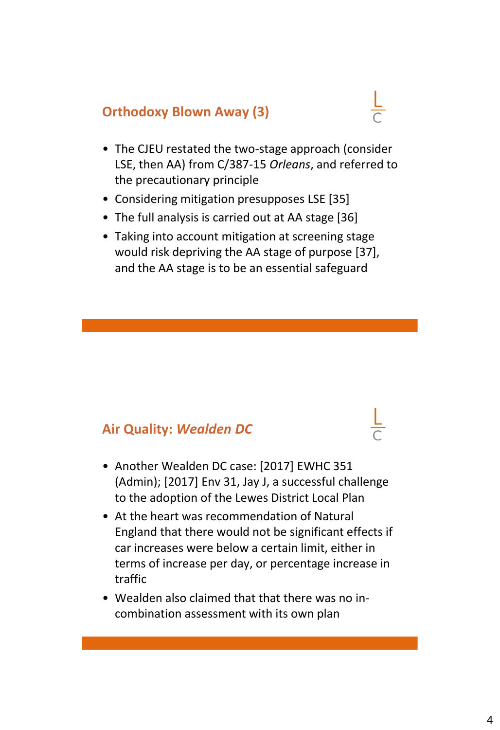### **Orthodoxy Blown Away (3)**

- The CJEU restated the two-stage approach (consider LSE, then AA) from C/387-15 *Orleans*, and referred to the precautionary principle
- Considering mitigation presupposes LSE [35]
- The full analysis is carried out at AA stage [36]
- Taking into account mitigation at screening stage would risk depriving the AA stage of purpose [37], and the AA stage is to be an essential safeguard

#### **Air Quality:** *Wealden DC*

- Another Wealden DC case: [2017] EWHC 351 (Admin); [2017] Env 31, Jay J, a successful challenge to the adoption of the Lewes District Local Plan
- At the heart was recommendation of Natural England that there would not be significant effects if car increases were below a certain limit, either in terms of increase per day, or percentage increase in traffic
- Wealden also claimed that that there was no incombination assessment with its own plan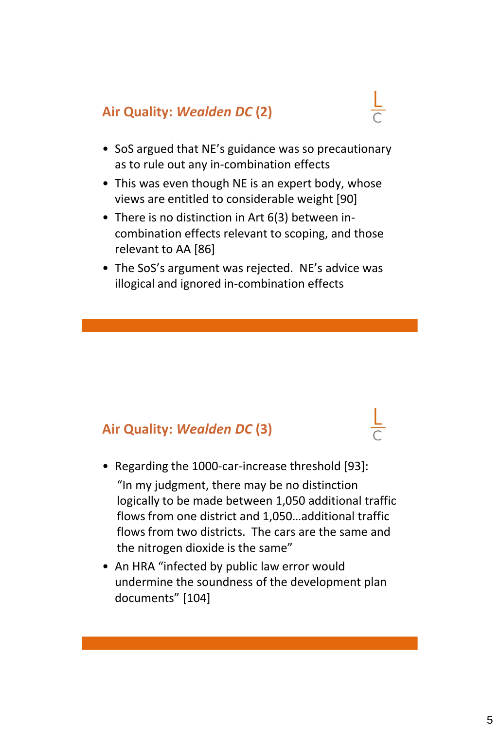# **Air Quality:** *Wealden DC* **(2)**



- SoS argued that NE's guidance was so precautionary as to rule out any in-combination effects
- This was even though NE is an expert body, whose views are entitled to considerable weight [90]
- There is no distinction in Art 6(3) between incombination effects relevant to scoping, and those relevant to AA [86]
- The SoS's argument was rejected. NE's advice was illogical and ignored in-combination effects

### **Air Quality:** *Wealden DC* **(3)**

- Regarding the 1000-car-increase threshold [93]: "In my judgment, there may be no distinction logically to be made between 1,050 additional traffic flows from one district and 1,050…additional traffic flows from two districts. The cars are the same and the nitrogen dioxide is the same"
- An HRA "infected by public law error would undermine the soundness of the development plan documents" [104]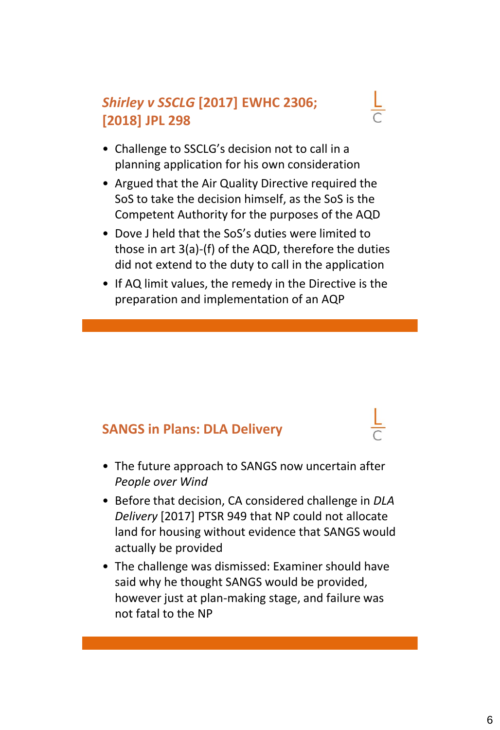# *Shirley v SSCLG* **[2017] EWHC 2306; [2018] JPL 298**



- Argued that the Air Quality Directive required the SoS to take the decision himself, as the SoS is the Competent Authority for the purposes of the AQD
- Dove J held that the SoS's duties were limited to those in art 3(a)-(f) of the AQD, therefore the duties did not extend to the duty to call in the application
- If AQ limit values, the remedy in the Directive is the preparation and implementation of an AQP

#### **SANGS in Plans: DLA Delivery**

- The future approach to SANGS now uncertain after *People over Wind*
- Before that decision, CA considered challenge in *DLA Delivery* [2017] PTSR 949 that NP could not allocate land for housing without evidence that SANGS would actually be provided
- The challenge was dismissed: Examiner should have said why he thought SANGS would be provided, however just at plan-making stage, and failure was not fatal to the NP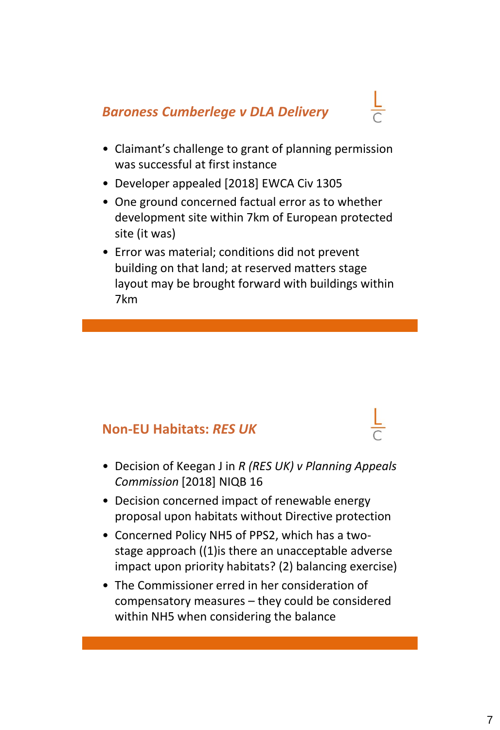## *Baroness Cumberlege v DLA Delivery*



- Claimant's challenge to grant of planning permission was successful at first instance
- Developer appealed [2018] EWCA Civ 1305
- One ground concerned factual error as to whether development site within 7km of European protected site (it was)
- Error was material; conditions did not prevent building on that land; at reserved matters stage layout may be brought forward with buildings within 7km

## **Non-EU Habitats:** *RES UK*

- Decision of Keegan J in *R (RES UK) v Planning Appeals Commission* [2018] NIQB 16
- Decision concerned impact of renewable energy proposal upon habitats without Directive protection
- Concerned Policy NH5 of PPS2, which has a twostage approach ((1)is there an unacceptable adverse impact upon priority habitats? (2) balancing exercise)
- The Commissioner erred in her consideration of compensatory measures – they could be considered within NH5 when considering the balance